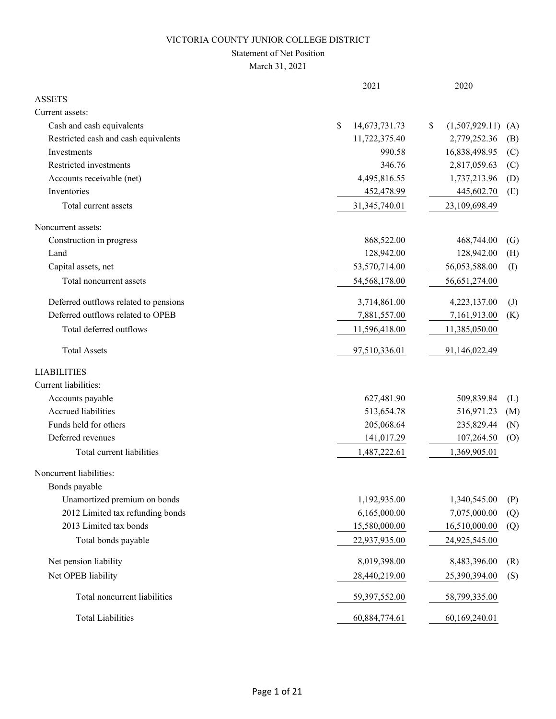# Statement of Net Position

|                                       | 2021                | 2020                              |
|---------------------------------------|---------------------|-----------------------------------|
| <b>ASSETS</b>                         |                     |                                   |
| Current assets:                       |                     |                                   |
| Cash and cash equivalents             | \$<br>14,673,731.73 | (1,507,929.11)<br>\$<br>(A)       |
| Restricted cash and cash equivalents  | 11,722,375.40       | 2,779,252.36<br>(B)               |
| Investments                           | 990.58              | 16,838,498.95<br>(C)              |
| Restricted investments                | 346.76              | 2,817,059.63<br>(C)               |
| Accounts receivable (net)             | 4,495,816.55        | 1,737,213.96<br>(D)               |
| Inventories                           | 452,478.99          | 445,602.70<br>(E)                 |
| Total current assets                  | 31,345,740.01       | 23,109,698.49                     |
| Noncurrent assets:                    |                     |                                   |
| Construction in progress              | 868,522.00          | 468,744.00<br>$\left( G\right)$   |
| Land                                  | 128,942.00          | 128,942.00<br>(H)                 |
| Capital assets, net                   | 53,570,714.00       | 56,053,588.00<br>(I)              |
| Total noncurrent assets               | 54,568,178.00       | 56,651,274.00                     |
| Deferred outflows related to pensions | 3,714,861.00        | 4,223,137.00<br>$\left( J\right)$ |
| Deferred outflows related to OPEB     | 7,881,557.00        | 7,161,913.00<br>(K)               |
| Total deferred outflows               | 11,596,418.00       | 11,385,050.00                     |
| <b>Total Assets</b>                   | 97,510,336.01       | 91,146,022.49                     |
| <b>LIABILITIES</b>                    |                     |                                   |
| Current liabilities:                  |                     |                                   |
| Accounts payable                      | 627,481.90          | 509,839.84<br>(L)                 |
| Accrued liabilities                   | 513,654.78          | 516,971.23<br>(M)                 |
| Funds held for others                 | 205,068.64          | 235,829.44<br>(N)                 |
| Deferred revenues                     | 141,017.29          | 107,264.50<br>(O)                 |
| Total current liabilities             | 1,487,222.61        | 1,369,905.01                      |
| Noncurrent liabilities:               |                     |                                   |
| Bonds payable                         |                     |                                   |
| Unamortized premium on bonds          | 1,192,935.00        | 1,340,545.00<br>(P)               |
| 2012 Limited tax refunding bonds      | 6,165,000.00        | 7,075,000.00<br>(Q)               |
| 2013 Limited tax bonds                | 15,580,000.00       | 16,510,000.00<br>(Q)              |
| Total bonds payable                   | 22,937,935.00       | 24,925,545.00                     |
| Net pension liability                 | 8,019,398.00        | 8,483,396.00<br>(R)               |
| Net OPEB liability                    | 28,440,219.00       | 25,390,394.00<br>(S)              |
| Total noncurrent liabilities          | 59,397,552.00       | 58,799,335.00                     |
| <b>Total Liabilities</b>              | 60,884,774.61       | 60,169,240.01                     |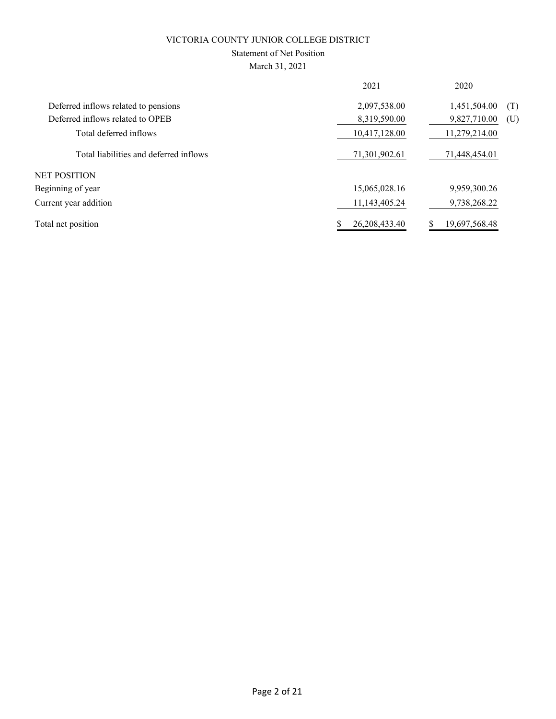# Statement of Net Position

| 2021             | 2020                |
|------------------|---------------------|
| 2,097,538.00     | 1,451,504.00<br>(T) |
| 8,319,590.00     | 9,827,710.00<br>(U) |
| 10,417,128.00    | 11,279,214.00       |
| 71,301,902.61    | 71,448,454.01       |
|                  |                     |
| 15,065,028.16    | 9,959,300.26        |
| 11,143,405.24    | 9,738,268.22        |
| 26, 208, 433. 40 | 19,697,568.48       |
|                  |                     |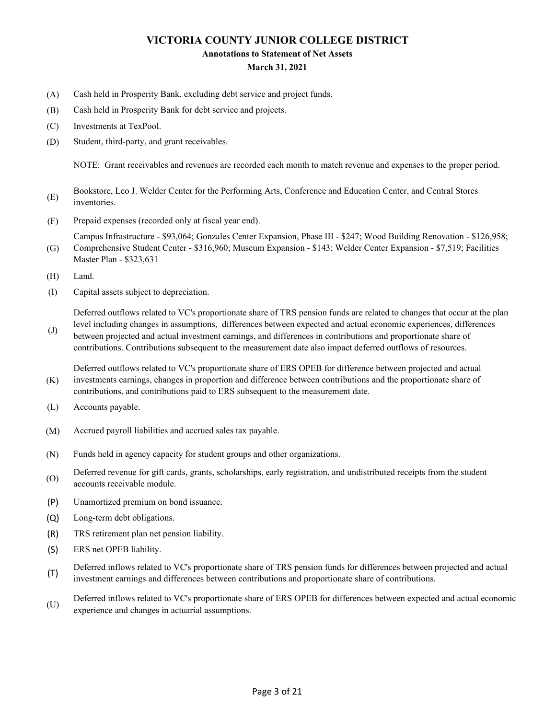#### **Annotations to Statement of Net Assets**

#### **March 31, 2021**

- (A) Cash held in Prosperity Bank, excluding debt service and project funds.
- (B) Cash held in Prosperity Bank for debt service and projects.
- (C) Investments at TexPool.
- (D) Student, third-party, and grant receivables.

NOTE: Grant receivables and revenues are recorded each month to match revenue and expenses to the proper period.

- (E) Bookstore, Leo J. Welder Center for the Performing Arts, Conference and Education Center, and Central Stores inventories.
- (F) Prepaid expenses (recorded only at fiscal year end).

(G) Campus Infrastructure - \$93,064; Gonzales Center Expansion, Phase III - \$247; Wood Building Renovation - \$126,958; Comprehensive Student Center - \$316,960; Museum Expansion - \$143; Welder Center Expansion - \$7,519; Facilities

- Master Plan \$323,631
- (H) Land.

(J)

(I) Capital assets subject to depreciation.

Deferred outflows related to VC's proportionate share of TRS pension funds are related to changes that occur at the plan level including changes in assumptions, differences between expected and actual economic experiences, differences

between projected and actual investment earnings, and differences in contributions and proportionate share of contributions. Contributions subsequent to the measurement date also impact deferred outflows of resources.

(K) Deferred outflows related to VC's proportionate share of ERS OPEB for difference between projected and actual investments earnings, changes in proportion and difference between contributions and the proportionate share of contributions, and contributions paid to ERS subsequent to the measurement date.

- (L) Accounts payable.
- (M) Accrued payroll liabilities and accrued sales tax payable.
- (N) Funds held in agency capacity for student groups and other organizations.
- (O) Deferred revenue for gift cards, grants, scholarships, early registration, and undistributed receipts from the student accounts receivable module.
- (P) Unamortized premium on bond issuance.
- (Q) Long-term debt obligations.
- (R) TRS retirement plan net pension liability.
- (S) ERS net OPEB liability.
- (T) Deferred inflows related to VC's proportionate share of TRS pension funds for differences between projected and actual investment earnings and differences between contributions and proportionate share of contributions.
- (U) Deferred inflows related to VC's proportionate share of ERS OPEB for differences between expected and actual economic experience and changes in actuarial assumptions.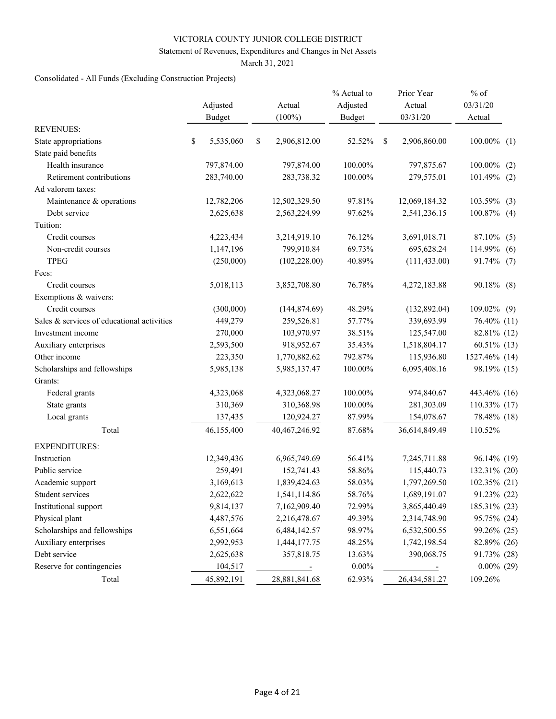### Statement of Revenues, Expenditures and Changes in Net Assets

March 31, 2021

# Consolidated - All Funds (Excluding Construction Projects)

|                                            | Adjusted<br>Budget | Actual<br>$(100\%)$ | % Actual to<br>Adjusted<br><b>Budget</b> |               | Prior Year<br>Actual<br>03/31/20 | $%$ of<br>03/31/20<br>Actual |
|--------------------------------------------|--------------------|---------------------|------------------------------------------|---------------|----------------------------------|------------------------------|
| <b>REVENUES:</b>                           |                    |                     |                                          |               |                                  |                              |
| State appropriations                       | \$<br>5,535,060    | \$<br>2,906,812.00  | 52.52%                                   | <sup>\$</sup> | 2,906,860.00                     | $100.00\%$ (1)               |
| State paid benefits                        |                    |                     |                                          |               |                                  |                              |
| Health insurance                           | 797,874.00         | 797,874.00          | 100.00%                                  |               | 797,875.67                       | 100.00%<br>(2)               |
| Retirement contributions                   | 283,740.00         | 283,738.32          | 100.00%                                  |               | 279,575.01                       | $101.49\%$ (2)               |
| Ad valorem taxes:                          |                    |                     |                                          |               |                                  |                              |
| Maintenance & operations                   | 12,782,206         | 12,502,329.50       | 97.81%                                   |               | 12,069,184.32                    | 103.59%<br>(3)               |
| Debt service                               | 2,625,638          | 2,563,224.99        | 97.62%                                   |               | 2,541,236.15                     | $100.87\%$ (4)               |
| Tuition:                                   |                    |                     |                                          |               |                                  |                              |
| Credit courses                             | 4,223,434          | 3,214,919.10        | 76.12%                                   |               | 3,691,018.71                     | 87.10% (5)                   |
| Non-credit courses                         | 1,147,196          | 799,910.84          | 69.73%                                   |               | 695,628.24                       | 114.99%<br>(6)               |
| <b>TPEG</b>                                | (250,000)          | (102, 228.00)       | 40.89%                                   |               | (111, 433.00)                    | 91.74% (7)                   |
| Fees:                                      |                    |                     |                                          |               |                                  |                              |
| Credit courses                             | 5,018,113          | 3,852,708.80        | 76.78%                                   |               | 4,272,183.88                     | 90.18% (8)                   |
| Exemptions & waivers:                      |                    |                     |                                          |               |                                  |                              |
| Credit courses                             | (300,000)          | (144, 874.69)       | 48.29%                                   |               | (132,892.04)                     | 109.02% (9)                  |
| Sales & services of educational activities | 449,279            | 259,526.81          | 57.77%                                   |               | 339,693.99                       | 76.40% (11)                  |
| Investment income                          | 270,000            | 103,970.97          | 38.51%                                   |               | 125,547.00                       | 82.81% (12)                  |
| Auxiliary enterprises                      | 2,593,500          | 918,952.67          | 35.43%                                   |               | 1,518,804.17                     | $60.51\%$ (13)               |
| Other income                               | 223,350            | 1,770,882.62        | 792.87%                                  |               | 115,936.80                       | 1527.46% (14)                |
| Scholarships and fellowships               | 5,985,138          | 5,985,137.47        | 100.00%                                  |               | 6,095,408.16                     | 98.19% (15)                  |
| Grants:                                    |                    |                     |                                          |               |                                  |                              |
| Federal grants                             | 4,323,068          | 4,323,068.27        | 100.00%                                  |               | 974,840.67                       | 443.46% (16)                 |
| State grants                               | 310,369            | 310,368.98          | 100.00%                                  |               | 281,303.09                       | 110.33% (17)                 |
| Local grants                               | 137,435            | 120,924.27          | 87.99%                                   |               | 154,078.67                       | 78.48% (18)                  |
| Total                                      | 46,155,400         | 40,467,246.92       | 87.68%                                   |               | 36,614,849.49                    | 110.52%                      |
| <b>EXPENDITURES:</b>                       |                    |                     |                                          |               |                                  |                              |
| Instruction                                | 12,349,436         | 6,965,749.69        | 56.41%                                   |               | 7,245,711.88                     | 96.14% (19)                  |
| Public service                             | 259,491            | 152,741.43          | 58.86%                                   |               | 115,440.73                       | 132.31% (20)                 |
| Academic support                           | 3,169,613          | 1,839,424.63        | 58.03%                                   |               | 1,797,269.50                     | 102.35% (21)                 |
| Student services                           | 2,622,622          | 1,541,114.86        | 58.76%                                   |               | 1,689,191.07                     | 91.23% (22)                  |
| Institutional support                      | 9,814,137          | 7,162,909.40        | 72.99%                                   |               | 3,865,440.49                     | 185.31% (23)                 |
| Physical plant                             | 4,487,576          | 2,216,478.67        | 49.39%                                   |               | 2,314,748.90                     | 95.75% (24)                  |
| Scholarships and fellowships               | 6,551,664          | 6,484,142.57        | 98.97%                                   |               | 6,532,500.55                     | 99.26% (25)                  |
| Auxiliary enterprises                      | 2,992,953          | 1,444,177.75        | 48.25%                                   |               | 1,742,198.54                     | 82.89% (26)                  |
| Debt service                               | 2,625,638          | 357,818.75          | 13.63%                                   |               | 390,068.75                       | 91.73% (28)                  |
| Reserve for contingencies                  | 104,517            | $\sim$ $\sim$       | $0.00\%$                                 |               | $\sim$ $\sim$ $\sim$             | $0.00\%$ (29)                |
| Total                                      | 45,892,191         | 28,881,841.68       | 62.93%                                   |               | 26,434,581.27                    | 109.26%                      |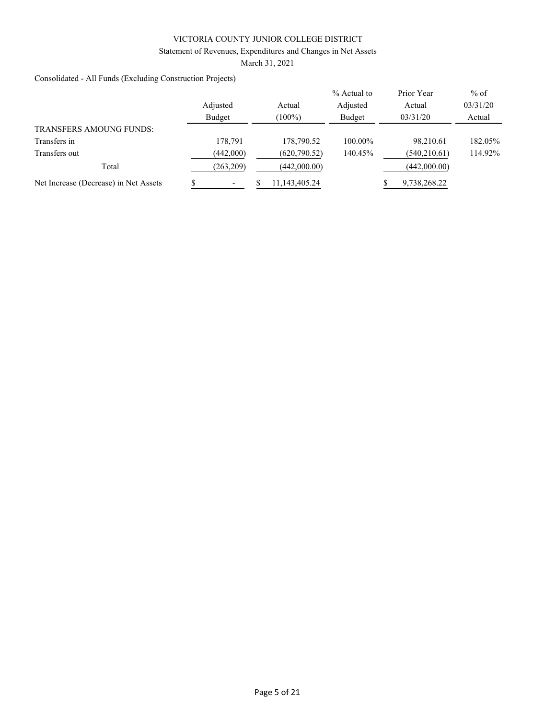### Statement of Revenues, Expenditures and Changes in Net Assets

March 31, 2021

Consolidated - All Funds (Excluding Construction Projects)

|                                       |           |               | % Actual to | Prior Year    | $%$ of   |
|---------------------------------------|-----------|---------------|-------------|---------------|----------|
|                                       | Adjusted  | Actual        | Adjusted    | Actual        | 03/31/20 |
|                                       | Budget    | $(100\%)$     | Budget      | 03/31/20      | Actual   |
| <b>TRANSFERS AMOUNG FUNDS:</b>        |           |               |             |               |          |
| Transfers in                          | 178,791   | 178,790.52    | 100.00%     | 98.210.61     | 182.05%  |
| Transfers out                         | (442,000) | (620, 790.52) | 140.45%     | (540, 210.61) | 114.92%  |
| Total                                 | (263,209) | (442,000.00)  |             | (442,000.00)  |          |
| Net Increase (Decrease) in Net Assets |           | 11,143,405.24 |             | 9,738,268.22  |          |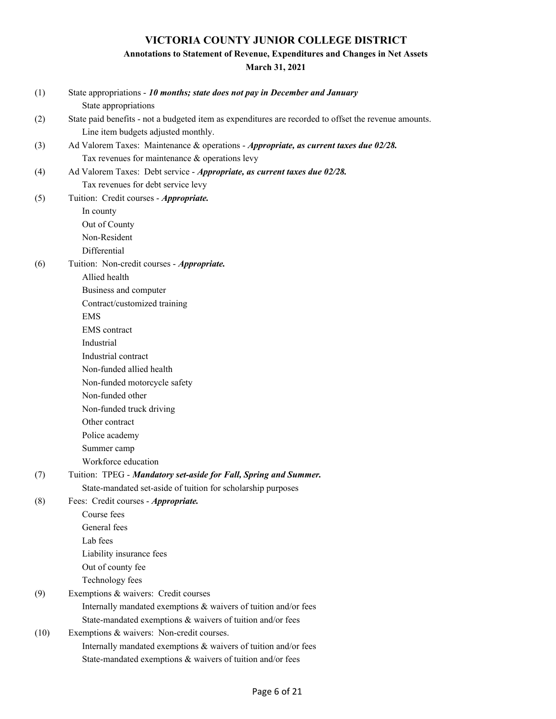# **Annotations to Statement of Revenue, Expenditures and Changes in Net Assets**

| (1)  | State appropriations - 10 months; state does not pay in December and January<br>State appropriations  |
|------|-------------------------------------------------------------------------------------------------------|
| (2)  | State paid benefits - not a budgeted item as expenditures are recorded to offset the revenue amounts. |
|      | Line item budgets adjusted monthly.                                                                   |
| (3)  | Ad Valorem Taxes: Maintenance & operations - Appropriate, as current taxes due 02/28.                 |
|      | Tax revenues for maintenance & operations levy                                                        |
| (4)  | Ad Valorem Taxes: Debt service - Appropriate, as current taxes due 02/28.                             |
|      | Tax revenues for debt service levy                                                                    |
| (5)  | Tuition: Credit courses - Appropriate.                                                                |
|      | In county                                                                                             |
|      | Out of County                                                                                         |
|      | Non-Resident                                                                                          |
|      | Differential                                                                                          |
| (6)  | Tuition: Non-credit courses - Appropriate.                                                            |
|      | Allied health                                                                                         |
|      | Business and computer                                                                                 |
|      | Contract/customized training                                                                          |
|      | <b>EMS</b>                                                                                            |
|      | <b>EMS</b> contract                                                                                   |
|      | Industrial                                                                                            |
|      | Industrial contract                                                                                   |
|      | Non-funded allied health                                                                              |
|      | Non-funded motorcycle safety                                                                          |
|      | Non-funded other                                                                                      |
|      | Non-funded truck driving                                                                              |
|      | Other contract                                                                                        |
|      | Police academy                                                                                        |
|      | Summer camp                                                                                           |
|      | Workforce education                                                                                   |
| (7)  | Tuition: TPEG - Mandatory set-aside for Fall, Spring and Summer.                                      |
|      | State-mandated set-aside of tuition for scholarship purposes                                          |
| (8)  | Fees: Credit courses - Appropriate.                                                                   |
|      | Course fees                                                                                           |
|      | General fees                                                                                          |
|      | Lab fees                                                                                              |
|      | Liability insurance fees                                                                              |
|      | Out of county fee                                                                                     |
|      | Technology fees                                                                                       |
| (9)  | Exemptions & waivers: Credit courses                                                                  |
|      | Internally mandated exemptions & waivers of tuition and/or fees                                       |
|      | State-mandated exemptions & waivers of tuition and/or fees                                            |
| (10) | Exemptions & waivers: Non-credit courses.                                                             |
|      | Internally mandated exemptions & waivers of tuition and/or fees                                       |
|      | State-mandated exemptions & waivers of tuition and/or fees                                            |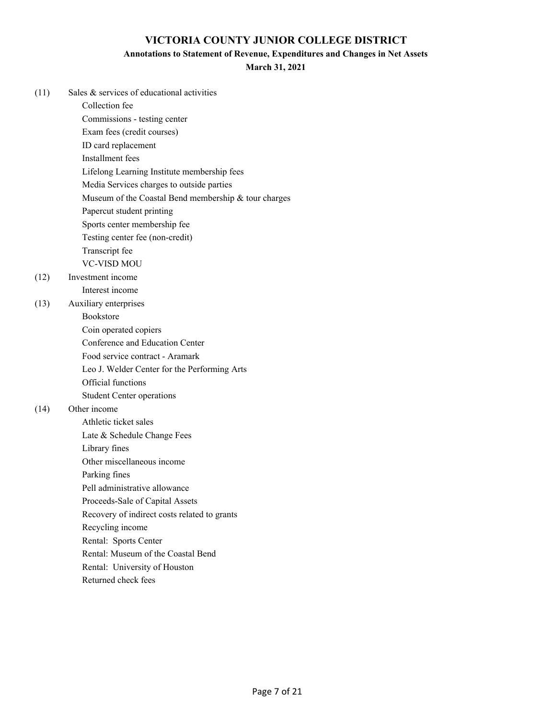### **Annotations to Statement of Revenue, Expenditures and Changes in Net Assets**

### **March 31, 2021**

| (11) | Sales & services of educational activities           |
|------|------------------------------------------------------|
|      | Collection fee                                       |
|      | Commissions - testing center                         |
|      | Exam fees (credit courses)                           |
|      | ID card replacement                                  |
|      | Installment fees                                     |
|      | Lifelong Learning Institute membership fees          |
|      | Media Services charges to outside parties            |
|      | Museum of the Coastal Bend membership & tour charges |
|      | Papercut student printing                            |
|      | Sports center membership fee                         |
|      | Testing center fee (non-credit)                      |
|      | Transcript fee                                       |
|      | <b>VC-VISD MOU</b>                                   |
| (12) | Investment income                                    |
|      | Interest income                                      |
| (13) | Auxiliary enterprises                                |
|      | Bookstore                                            |
|      | Coin operated copiers                                |
|      | Conference and Education Center                      |
|      | Food service contract - Aramark                      |
|      | Leo J. Welder Center for the Performing Arts         |
|      | Official functions                                   |
|      | <b>Student Center operations</b>                     |
| (14) | Other income                                         |
|      | Athletic ticket sales                                |
|      | Late & Schedule Change Fees                          |
|      | Library fines                                        |
|      | Other miscellaneous income                           |
|      | Parking fines                                        |
|      | Pell administrative allowance                        |
|      | Proceeds-Sale of Capital Assets                      |
|      | Recovery of indirect costs related to grants         |
|      | Recycling income                                     |
|      | Rental: Sports Center                                |
|      | Rental: Museum of the Coastal Bend                   |
|      | Rental: University of Houston                        |

Returned check fees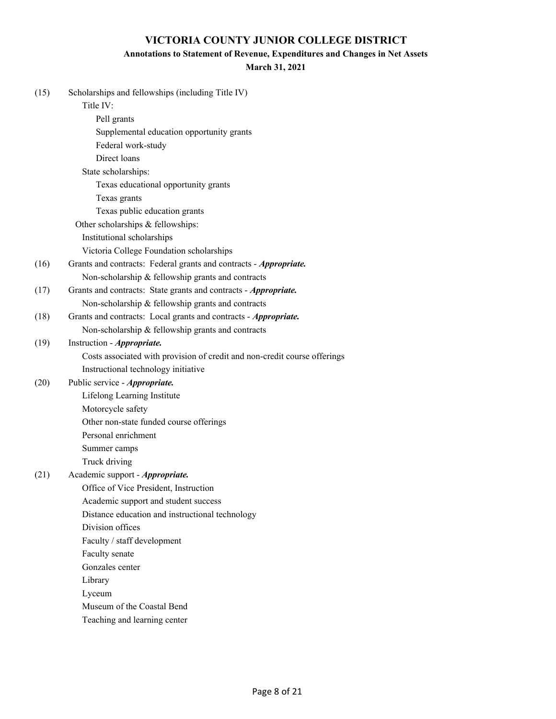### **Annotations to Statement of Revenue, Expenditures and Changes in Net Assets**

| (15) | Scholarships and fellowships (including Title IV)                         |
|------|---------------------------------------------------------------------------|
|      | Title IV:                                                                 |
|      | Pell grants                                                               |
|      | Supplemental education opportunity grants                                 |
|      | Federal work-study                                                        |
|      | Direct loans                                                              |
|      | State scholarships:                                                       |
|      | Texas educational opportunity grants                                      |
|      | Texas grants                                                              |
|      | Texas public education grants                                             |
|      | Other scholarships & fellowships:                                         |
|      | Institutional scholarships                                                |
|      | Victoria College Foundation scholarships                                  |
| (16) | Grants and contracts: Federal grants and contracts - Appropriate.         |
|      | Non-scholarship & fellowship grants and contracts                         |
| (17) | Grants and contracts: State grants and contracts - Appropriate.           |
|      | Non-scholarship & fellowship grants and contracts                         |
| (18) | Grants and contracts: Local grants and contracts - Appropriate.           |
|      | Non-scholarship & fellowship grants and contracts                         |
| (19) | Instruction - Appropriate.                                                |
|      | Costs associated with provision of credit and non-credit course offerings |
|      | Instructional technology initiative                                       |
| (20) | Public service - Appropriate.                                             |
|      | Lifelong Learning Institute                                               |
|      | Motorcycle safety                                                         |
|      | Other non-state funded course offerings                                   |
|      | Personal enrichment                                                       |
|      | Summer camps                                                              |
|      | Truck driving                                                             |
| (21) | Academic support - Appropriate.                                           |
|      | Office of Vice President, Instruction                                     |
|      | Academic support and student success                                      |
|      | Distance education and instructional technology                           |
|      | Division offices                                                          |
|      | Faculty / staff development                                               |
|      | Faculty senate                                                            |
|      | Gonzales center                                                           |
|      | Library                                                                   |
|      | Lyceum                                                                    |
|      | Museum of the Coastal Bend                                                |
|      | Teaching and learning center                                              |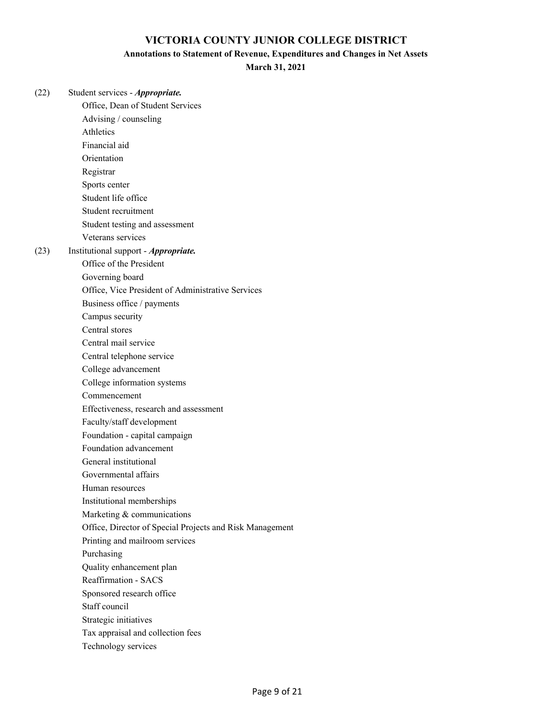#### **Annotations to Statement of Revenue, Expenditures and Changes in Net Assets**

**March 31, 2021**

(22) Student services - *Appropriate.* Office, Dean of Student Services Advising / counseling Athletics Financial aid Orientation Registrar Sports center Student life office Student recruitment Student testing and assessment Veterans services (23) Institutional support - *Appropriate.* Office of the President Governing board Office, Vice President of Administrative Services Business office / payments Campus security Central stores Central mail service Central telephone service College advancement College information systems Commencement Effectiveness, research and assessment Faculty/staff development Foundation - capital campaign Foundation advancement General institutional Governmental affairs Human resources Institutional memberships Marketing & communications Office, Director of Special Projects and Risk Management Printing and mailroom services Purchasing Quality enhancement plan Reaffirmation - SACS Sponsored research office Staff council Strategic initiatives Tax appraisal and collection fees Technology services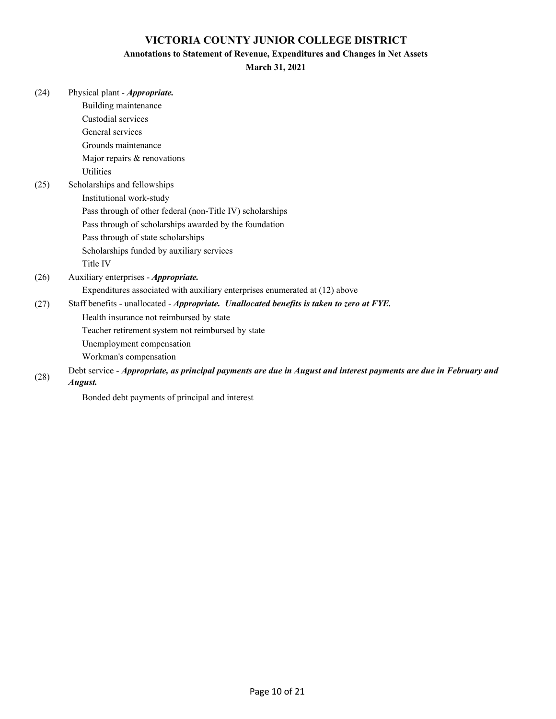### **Annotations to Statement of Revenue, Expenditures and Changes in Net Assets**

|  | (24) |  | Physical plant - <i>Appropriate</i> . |
|--|------|--|---------------------------------------|
|--|------|--|---------------------------------------|

|      | Building maintenance                                                                                              |
|------|-------------------------------------------------------------------------------------------------------------------|
|      | Custodial services                                                                                                |
|      | General services                                                                                                  |
|      | Grounds maintenance                                                                                               |
|      | Major repairs & renovations                                                                                       |
|      | Utilities                                                                                                         |
| (25) | Scholarships and fellowships                                                                                      |
|      | Institutional work-study                                                                                          |
|      | Pass through of other federal (non-Title IV) scholarships                                                         |
|      | Pass through of scholarships awarded by the foundation                                                            |
|      | Pass through of state scholarships                                                                                |
|      | Scholarships funded by auxiliary services                                                                         |
|      | Title IV                                                                                                          |
| (26) | Auxiliary enterprises - Appropriate.                                                                              |
|      | Expenditures associated with auxiliary enterprises enumerated at (12) above                                       |
| (27) | Staff benefits - unallocated - Appropriate. Unallocated benefits is taken to zero at FYE.                         |
|      | Health insurance not reimbursed by state                                                                          |
|      | Teacher retirement system not reimbursed by state                                                                 |
|      | Unemployment compensation                                                                                         |
|      | Workman's compensation                                                                                            |
| (28) | Debt service - Appropriate, as principal payments are due in August and interest payments are due in February and |
|      | August.                                                                                                           |
|      | Bonded debt payments of principal and interest                                                                    |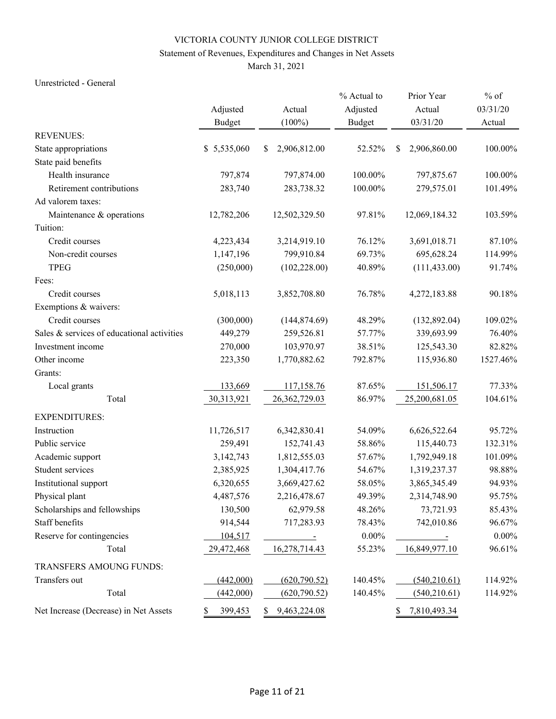# Statement of Revenues, Expenditures and Changes in Net Assets

March 31, 2021

### Unrestricted - General

|                                            |               |                      | % Actual to   | Prior Year           | $%$ of   |
|--------------------------------------------|---------------|----------------------|---------------|----------------------|----------|
|                                            | Adjusted      | Actual               | Adjusted      | Actual               | 03/31/20 |
|                                            | <b>Budget</b> | $(100\%)$            | <b>Budget</b> | 03/31/20             | Actual   |
| <b>REVENUES:</b>                           |               |                      |               |                      |          |
| State appropriations                       | \$5,535,060   | 2,906,812.00<br>\$   | 52.52%        | \$<br>2,906,860.00   | 100.00%  |
| State paid benefits                        |               |                      |               |                      |          |
| Health insurance                           | 797,874       | 797,874.00           | 100.00%       | 797,875.67           | 100.00%  |
| Retirement contributions                   | 283,740       | 283,738.32           | 100.00%       | 279,575.01           | 101.49%  |
| Ad valorem taxes:                          |               |                      |               |                      |          |
| Maintenance & operations                   | 12,782,206    | 12,502,329.50        | 97.81%        | 12,069,184.32        | 103.59%  |
| Tuition:                                   |               |                      |               |                      |          |
| Credit courses                             | 4,223,434     | 3,214,919.10         | 76.12%        | 3,691,018.71         | 87.10%   |
| Non-credit courses                         | 1,147,196     | 799,910.84           | 69.73%        | 695,628.24           | 114.99%  |
| <b>TPEG</b>                                | (250,000)     | (102, 228.00)        | 40.89%        | (111, 433.00)        | 91.74%   |
| Fees:                                      |               |                      |               |                      |          |
| Credit courses                             | 5,018,113     | 3,852,708.80         | 76.78%        | 4,272,183.88         | 90.18%   |
| Exemptions & waivers:                      |               |                      |               |                      |          |
| Credit courses                             | (300,000)     | (144, 874.69)        | 48.29%        | (132, 892.04)        | 109.02%  |
| Sales & services of educational activities | 449,279       | 259,526.81           | 57.77%        | 339,693.99           | 76.40%   |
| Investment income                          | 270,000       | 103,970.97           | 38.51%        | 125,543.30           | 82.82%   |
| Other income                               | 223,350       | 1,770,882.62         | 792.87%       | 115,936.80           | 1527.46% |
| Grants:                                    |               |                      |               |                      |          |
| Local grants                               | 133,669       | 117,158.76           | 87.65%        | 151,506.17           | 77.33%   |
| Total                                      | 30,313,921    | 26, 362, 729.03      | 86.97%        | 25,200,681.05        | 104.61%  |
| <b>EXPENDITURES:</b>                       |               |                      |               |                      |          |
| Instruction                                | 11,726,517    | 6,342,830.41         | 54.09%        | 6,626,522.64         | 95.72%   |
| Public service                             | 259,491       | 152,741.43           | 58.86%        | 115,440.73           | 132.31%  |
| Academic support                           | 3,142,743     | 1,812,555.03         | 57.67%        | 1,792,949.18         | 101.09%  |
| Student services                           | 2,385,925     | 1,304,417.76         | 54.67%        | 1,319,237.37         | 98.88%   |
| Institutional support                      | 6,320,655     | 3,669,427.62         | 58.05%        | 3,865,345.49         | 94.93%   |
| Physical plant                             | 4,487,576     | 2,216,478.67         | 49.39%        | 2,314,748.90         | 95.75%   |
| Scholarships and fellowships               | 130,500       | 62,979.58            | 48.26%        | 73,721.93            | 85.43%   |
| Staff benefits                             | 914,544       | 717,283.93           | 78.43%        | 742,010.86           | 96.67%   |
| Reserve for contingencies                  | 104,517       | $\sim 100$ m $^{-1}$ | $0.00\%$      | $\sim 100$ m $^{-1}$ | $0.00\%$ |
| Total                                      | 29,472,468    | 16,278,714.43        | 55.23%        | 16,849,977.10        | 96.61%   |
| TRANSFERS AMOUNG FUNDS:                    |               |                      |               |                      |          |
| Transfers out                              | (442,000)     | (620, 790.52)        | 140.45%       | (540,210.61)         | 114.92%  |
| Total                                      | (442,000)     | (620, 790.52)        | 140.45%       | (540, 210.61)        | 114.92%  |
| Net Increase (Decrease) in Net Assets      | 399,453<br>\$ | 9,463,224.08<br>\$   |               | 7,810,493.34<br>\$   |          |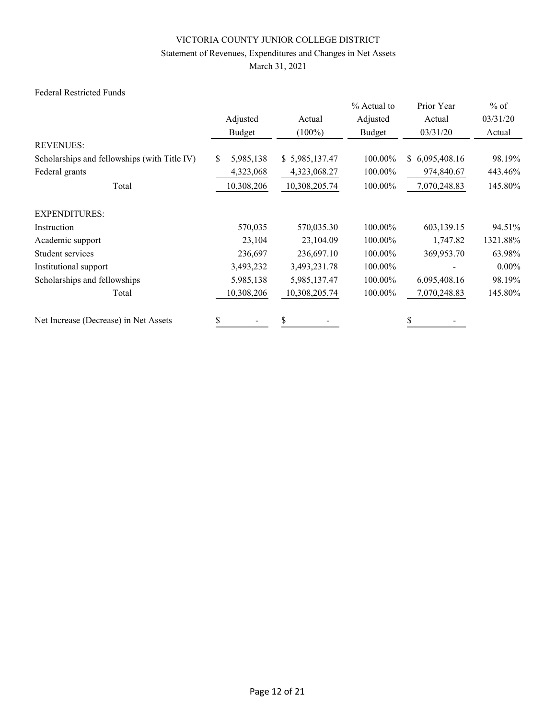# Statement of Revenues, Expenditures and Changes in Net Assets

March 31, 2021

### Federal Restricted Funds

|                                              |                  |                | % Actual to | Prior Year     | $%$ of   |
|----------------------------------------------|------------------|----------------|-------------|----------------|----------|
|                                              | Adjusted         | Actual         | Adjusted    | Actual         | 03/31/20 |
|                                              | Budget           | $(100\%)$      | Budget      | 03/31/20       | Actual   |
| <b>REVENUES:</b>                             |                  |                |             |                |          |
| Scholarships and fellowships (with Title IV) | 5,985,138<br>\$. | \$5,985,137.47 | 100.00%     | \$6,095,408.16 | 98.19%   |
| Federal grants                               | 4,323,068        | 4,323,068.27   | 100.00%     | 974,840.67     | 443.46%  |
| Total                                        | 10,308,206       | 10,308,205.74  | 100.00%     | 7,070,248.83   | 145.80%  |
| <b>EXPENDITURES:</b>                         |                  |                |             |                |          |
| Instruction                                  | 570,035          | 570,035.30     | 100.00%     | 603,139.15     | 94.51%   |
| Academic support                             | 23,104           | 23,104.09      | 100.00%     | 1,747.82       | 1321.88% |
| Student services                             | 236,697          | 236,697.10     | 100.00%     | 369,953.70     | 63.98%   |
| Institutional support                        | 3,493,232        | 3,493,231.78   | 100.00%     |                | $0.00\%$ |
| Scholarships and fellowships                 | 5,985,138        | 5,985,137.47   | 100.00%     | 6,095,408.16   | 98.19%   |
| Total                                        | 10,308,206       | 10,308,205.74  | 100.00%     | 7,070,248.83   | 145.80%  |
| Net Increase (Decrease) in Net Assets        | \$               | \$             |             |                |          |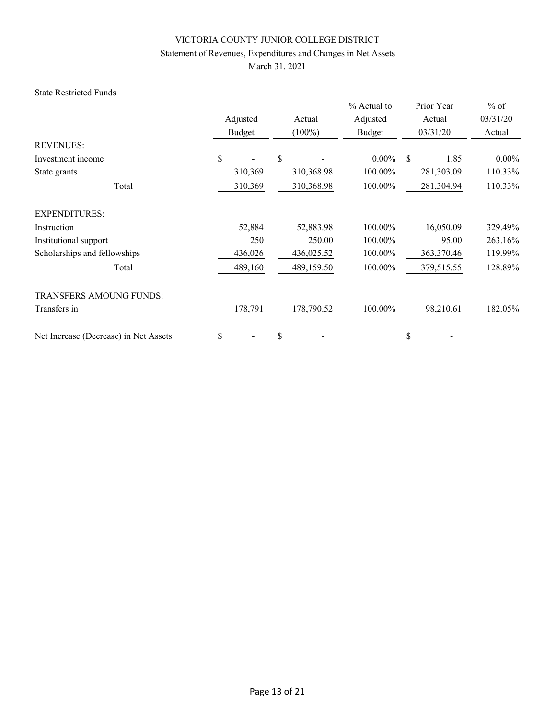### Statement of Revenues, Expenditures and Changes in Net Assets

March 31, 2021

### State Restricted Funds

|                                       |          |            | % Actual to | Prior Year | $%$ of   |
|---------------------------------------|----------|------------|-------------|------------|----------|
|                                       | Adjusted | Actual     | Adjusted    | Actual     | 03/31/20 |
|                                       | Budget   | $(100\%)$  | Budget      | 03/31/20   | Actual   |
| <b>REVENUES:</b>                      |          |            |             |            |          |
| Investment income                     | \$       | \$         | $0.00\%$    | \$<br>1.85 | $0.00\%$ |
| State grants                          | 310,369  | 310,368.98 | 100.00%     | 281,303.09 | 110.33%  |
| Total                                 | 310,369  | 310,368.98 | 100.00%     | 281,304.94 | 110.33%  |
| <b>EXPENDITURES:</b>                  |          |            |             |            |          |
| Instruction                           | 52,884   | 52,883.98  | 100.00%     | 16,050.09  | 329.49%  |
| Institutional support                 | 250      | 250.00     | 100.00%     | 95.00      | 263.16%  |
| Scholarships and fellowships          | 436,026  | 436,025.52 | 100.00%     | 363,370.46 | 119.99%  |
| Total                                 | 489,160  | 489,159.50 | 100.00%     | 379,515.55 | 128.89%  |
| <b>TRANSFERS AMOUNG FUNDS:</b>        |          |            |             |            |          |
| Transfers in                          | 178,791  | 178,790.52 | 100.00%     | 98,210.61  | 182.05%  |
| Net Increase (Decrease) in Net Assets | \$       | \$         |             | \$         |          |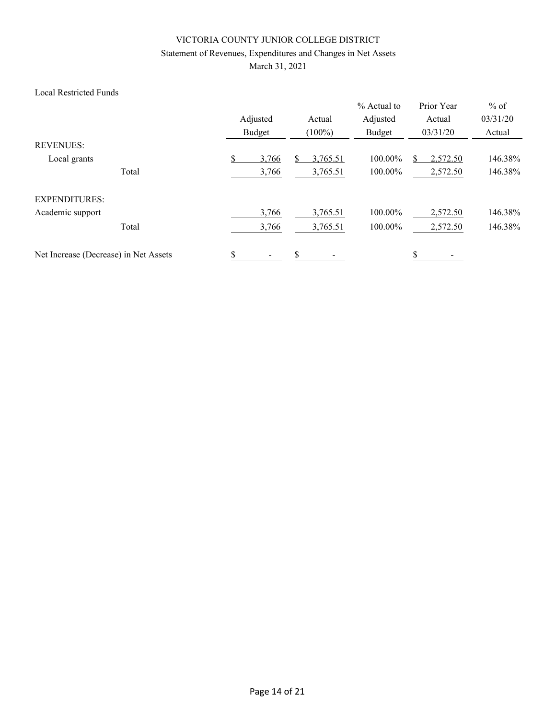# Statement of Revenues, Expenditures and Changes in Net Assets

March 31, 2021

### Local Restricted Funds

|                                       |       | Adjusted<br>Budget |    | Actual<br>$(100\%)$ | % Actual to<br>Adjusted<br>Budget | Prior Year<br>Actual<br>03/31/20 | $%$ of<br>03/31/20<br>Actual |
|---------------------------------------|-------|--------------------|----|---------------------|-----------------------------------|----------------------------------|------------------------------|
| <b>REVENUES:</b>                      |       |                    |    |                     |                                   |                                  |                              |
| Local grants                          |       | \$<br>3,766        |    | 3,765.51            | 100.00%                           | 2,572.50                         | 146.38%                      |
|                                       | Total | 3,766              |    | 3,765.51            | 100.00%                           | 2,572.50                         | 146.38%                      |
| <b>EXPENDITURES:</b>                  |       |                    |    |                     |                                   |                                  |                              |
| Academic support                      |       | 3,766              |    | 3,765.51            | 100.00%                           | 2,572.50                         | 146.38%                      |
|                                       | Total | 3,766              |    | 3,765.51            | 100.00%                           | 2,572.50                         | 146.38%                      |
| Net Increase (Decrease) in Net Assets |       | \$                 | \$ |                     |                                   |                                  |                              |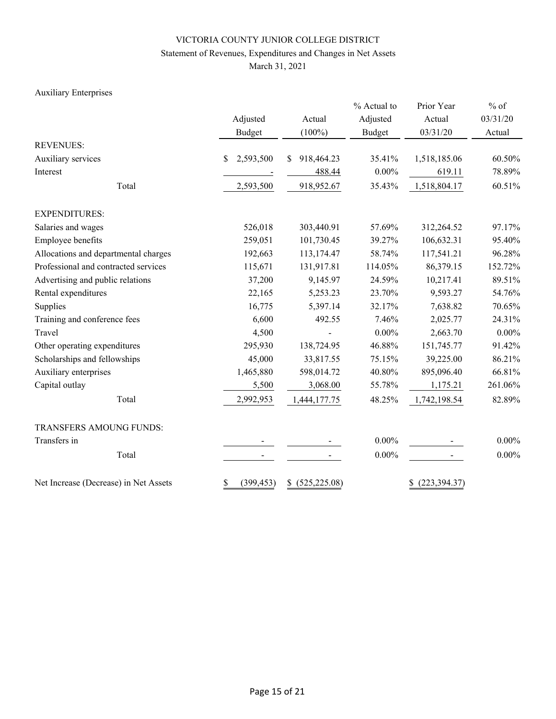# Statement of Revenues, Expenditures and Changes in Net Assets

March 31, 2021

# Auxiliary Enterprises

|                                       |                  |                  | % Actual to   | Prior Year          | $%$ of   |  |
|---------------------------------------|------------------|------------------|---------------|---------------------|----------|--|
|                                       | Adjusted         | Actual           | Adjusted      | Actual              | 03/31/20 |  |
|                                       | <b>Budget</b>    | $(100\%)$        | <b>Budget</b> | 03/31/20            | Actual   |  |
| <b>REVENUES:</b>                      |                  |                  |               |                     |          |  |
| Auxiliary services                    | \$<br>2,593,500  | 918,464.23<br>\$ | 35.41%        | 1,518,185.06        | 60.50%   |  |
| Interest                              |                  | 488.44           | $0.00\%$      | 619.11              | 78.89%   |  |
| Total                                 | 2,593,500        | 918,952.67       | 35.43%        | 1,518,804.17        | 60.51%   |  |
| <b>EXPENDITURES:</b>                  |                  |                  |               |                     |          |  |
| Salaries and wages                    | 526,018          | 303,440.91       | 57.69%        | 312,264.52          | 97.17%   |  |
| Employee benefits                     | 259,051          | 101,730.45       | 39.27%        | 106,632.31          | 95.40%   |  |
| Allocations and departmental charges  | 192,663          | 113,174.47       | 58.74%        | 117,541.21          | 96.28%   |  |
| Professional and contracted services  | 115,671          | 131,917.81       | 114.05%       | 86,379.15           | 152.72%  |  |
| Advertising and public relations      | 37,200           | 9,145.97         | 24.59%        | 10,217.41           | 89.51%   |  |
| Rental expenditures                   | 22,165           | 5,253.23         | 23.70%        | 9,593.27            | 54.76%   |  |
| Supplies                              | 16,775           | 5,397.14         | 32.17%        | 7,638.82            | 70.65%   |  |
| Training and conference fees          | 6,600            | 492.55           | 7.46%         | 2,025.77            | 24.31%   |  |
| Travel                                | 4,500            |                  | $0.00\%$      | 2,663.70            | $0.00\%$ |  |
| Other operating expenditures          | 295,930          | 138,724.95       | 46.88%        | 151,745.77          | 91.42%   |  |
| Scholarships and fellowships          | 45,000           | 33,817.55        | 75.15%        | 39,225.00           | 86.21%   |  |
| Auxiliary enterprises                 | 1,465,880        | 598,014.72       | 40.80%        | 895,096.40          | 66.81%   |  |
| Capital outlay                        | 5,500            | 3,068.00         | 55.78%        | 1,175.21            | 261.06%  |  |
| Total                                 | 2,992,953        | 1,444,177.75     | 48.25%        | 1,742,198.54        | 82.89%   |  |
| TRANSFERS AMOUNG FUNDS:               |                  |                  |               |                     |          |  |
| Transfers in                          |                  |                  | $0.00\%$      |                     | $0.00\%$ |  |
| Total                                 |                  |                  | $0.00\%$      |                     | $0.00\%$ |  |
| Net Increase (Decrease) in Net Assets | \$<br>(399, 453) | \$ (525, 225.08) |               | (223, 394.37)<br>\$ |          |  |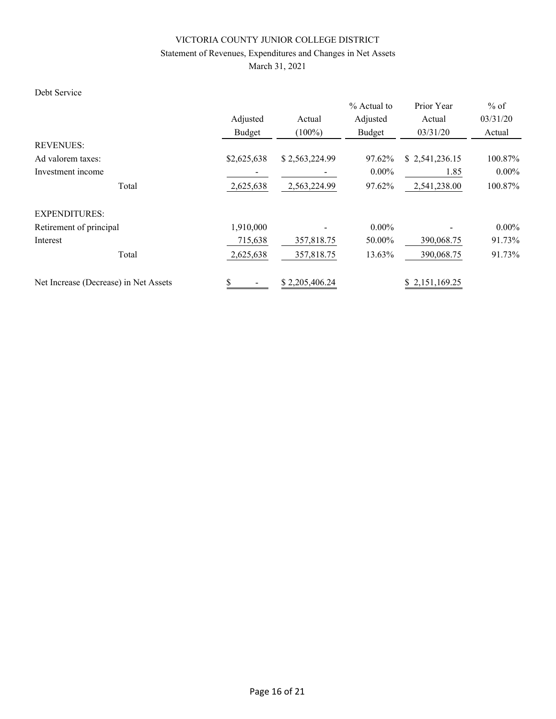# Statement of Revenues, Expenditures and Changes in Net Assets

March 31, 2021

# Debt Service

|                                       |             |                | % Actual to | Prior Year     | $%$ of   |
|---------------------------------------|-------------|----------------|-------------|----------------|----------|
|                                       | Adjusted    | Actual         | Adjusted    | Actual         | 03/31/20 |
|                                       | Budget      | $(100\%)$      | Budget      | 03/31/20       | Actual   |
| <b>REVENUES:</b>                      |             |                |             |                |          |
| Ad valorem taxes:                     | \$2,625,638 | \$2,563,224.99 | 97.62%      | \$2,541,236.15 | 100.87%  |
| Investment income                     |             |                | $0.00\%$    | 1.85           | $0.00\%$ |
| Total                                 | 2,625,638   | 2,563,224.99   | 97.62%      | 2,541,238.00   | 100.87%  |
| <b>EXPENDITURES:</b>                  |             |                |             |                |          |
| Retirement of principal               | 1,910,000   |                | $0.00\%$    |                | $0.00\%$ |
| Interest                              | 715,638     | 357,818.75     | 50.00%      | 390,068.75     | 91.73%   |
| Total                                 | 2,625,638   | 357,818.75     | 13.63%      | 390,068.75     | 91.73%   |
| Net Increase (Decrease) in Net Assets | \$          | \$2,205,406.24 |             | \$2,151,169.25 |          |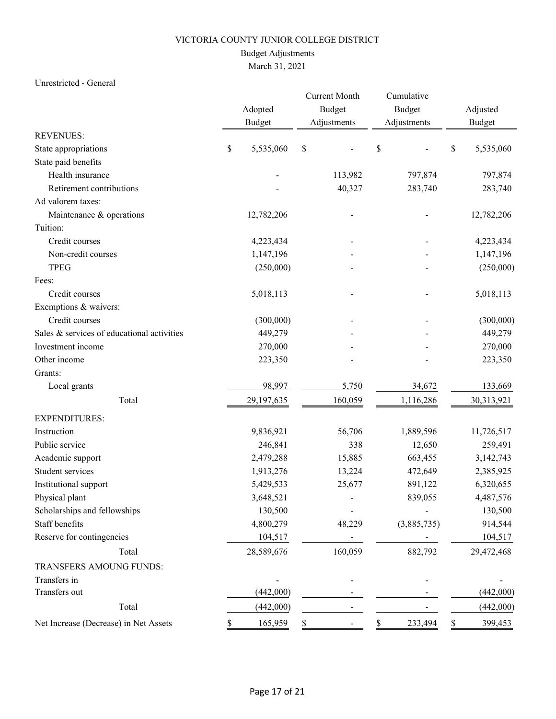# Budget Adjustments

# March 31, 2021

### Unrestricted - General

|                                            |    | Adopted       | <b>Current Month</b><br>Budget | Cumulative<br>Budget | Adjusted      |            |  |
|--------------------------------------------|----|---------------|--------------------------------|----------------------|---------------|------------|--|
|                                            |    | <b>Budget</b> | Adjustments                    | Adjustments          | <b>Budget</b> |            |  |
| <b>REVENUES:</b>                           |    |               |                                |                      |               |            |  |
| State appropriations                       | \$ | 5,535,060     | $\mathbb S$                    | \$                   | \$            | 5,535,060  |  |
| State paid benefits                        |    |               |                                |                      |               |            |  |
| Health insurance                           |    |               | 113,982                        | 797,874              |               | 797,874    |  |
| Retirement contributions                   |    |               | 40,327                         | 283,740              |               | 283,740    |  |
| Ad valorem taxes:                          |    |               |                                |                      |               |            |  |
| Maintenance & operations                   |    | 12,782,206    |                                |                      |               | 12,782,206 |  |
| Tuition:                                   |    |               |                                |                      |               |            |  |
| Credit courses                             |    | 4,223,434     |                                |                      |               | 4,223,434  |  |
| Non-credit courses                         |    | 1,147,196     |                                |                      |               | 1,147,196  |  |
| <b>TPEG</b>                                |    | (250,000)     |                                |                      |               | (250,000)  |  |
| Fees:                                      |    |               |                                |                      |               |            |  |
| Credit courses                             |    | 5,018,113     |                                |                      |               | 5,018,113  |  |
| Exemptions & waivers:                      |    |               |                                |                      |               |            |  |
| Credit courses                             |    | (300,000)     |                                |                      |               | (300,000)  |  |
| Sales & services of educational activities |    | 449,279       |                                |                      |               | 449,279    |  |
| Investment income                          |    | 270,000       |                                |                      |               | 270,000    |  |
| Other income                               |    | 223,350       |                                |                      |               | 223,350    |  |
| Grants:                                    |    |               |                                |                      |               |            |  |
| Local grants                               |    | 98,997        | 5,750                          | 34,672               |               | 133,669    |  |
| Total                                      |    | 29,197,635    | 160,059                        | 1,116,286            |               | 30,313,921 |  |
| <b>EXPENDITURES:</b>                       |    |               |                                |                      |               |            |  |
| Instruction                                |    | 9,836,921     | 56,706                         | 1,889,596            |               | 11,726,517 |  |
| Public service                             |    | 246,841       | 338                            | 12,650               |               | 259,491    |  |
| Academic support                           |    | 2,479,288     | 15,885                         | 663,455              |               | 3,142,743  |  |
| Student services                           |    | 1,913,276     | 13,224                         | 472,649              |               | 2,385,925  |  |
| Institutional support                      |    | 5,429,533     | 25,677                         | 891,122              |               | 6,320,655  |  |
| Physical plant                             |    | 3,648,521     |                                | 839,055              |               | 4,487,576  |  |
| Scholarships and fellowships               |    | 130,500       |                                |                      |               | 130,500    |  |
| Staff benefits                             |    | 4,800,279     | 48,229                         | (3,885,735)          |               | 914,544    |  |
| Reserve for contingencies                  |    | 104,517       |                                |                      |               | 104,517    |  |
| Total                                      |    | 28,589,676    | 160,059                        | 882,792              |               | 29,472,468 |  |
| TRANSFERS AMOUNG FUNDS:                    |    |               |                                |                      |               |            |  |
| Transfers in                               |    |               |                                |                      |               |            |  |
| Transfers out                              |    | (442,000)     |                                |                      |               | (442,000)  |  |
| Total                                      |    | (442,000)     |                                |                      |               | (442,000)  |  |
| Net Increase (Decrease) in Net Assets      | P. | 165,959       | \$                             | 233,494<br>S.        | S.            | 399,453    |  |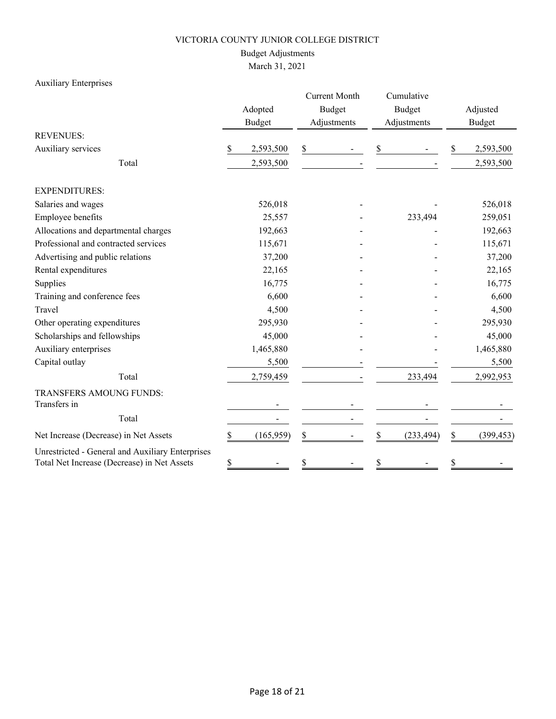# Budget Adjustments

March 31, 2021

# Auxiliary Enterprises

|                                                                                                 |    | Adopted<br><b>Budget</b> |    | <b>Current Month</b><br><b>Budget</b><br>Adjustments |    | Cumulative<br><b>Budget</b><br>Adjustments | Adjusted<br><b>Budget</b> |            |  |
|-------------------------------------------------------------------------------------------------|----|--------------------------|----|------------------------------------------------------|----|--------------------------------------------|---------------------------|------------|--|
| <b>REVENUES:</b>                                                                                |    |                          |    |                                                      |    |                                            |                           |            |  |
| Auxiliary services                                                                              | \$ | 2,593,500                | \$ |                                                      | \$ |                                            | \$                        | 2,593,500  |  |
| Total                                                                                           |    | 2,593,500                |    |                                                      |    |                                            |                           | 2,593,500  |  |
| <b>EXPENDITURES:</b>                                                                            |    |                          |    |                                                      |    |                                            |                           |            |  |
| Salaries and wages                                                                              |    | 526,018                  |    |                                                      |    |                                            |                           | 526,018    |  |
| Employee benefits                                                                               |    | 25,557                   |    |                                                      |    | 233,494                                    |                           | 259,051    |  |
| Allocations and departmental charges                                                            |    | 192,663                  |    |                                                      |    |                                            |                           | 192,663    |  |
| Professional and contracted services                                                            |    | 115,671                  |    |                                                      |    |                                            |                           | 115,671    |  |
| Advertising and public relations                                                                |    | 37,200                   |    |                                                      |    |                                            |                           | 37,200     |  |
| Rental expenditures                                                                             |    | 22,165                   |    |                                                      |    |                                            |                           | 22,165     |  |
| Supplies                                                                                        |    | 16,775                   |    |                                                      |    |                                            |                           | 16,775     |  |
| Training and conference fees                                                                    |    | 6,600                    |    |                                                      |    |                                            |                           | 6,600      |  |
| Travel                                                                                          |    | 4,500                    |    |                                                      |    |                                            |                           | 4,500      |  |
| Other operating expenditures                                                                    |    | 295,930                  |    |                                                      |    |                                            |                           | 295,930    |  |
| Scholarships and fellowships                                                                    |    | 45,000                   |    |                                                      |    |                                            |                           | 45,000     |  |
| Auxiliary enterprises                                                                           |    | 1,465,880                |    |                                                      |    |                                            |                           | 1,465,880  |  |
| Capital outlay                                                                                  |    | 5,500                    |    |                                                      |    |                                            |                           | 5,500      |  |
| Total                                                                                           |    | 2,759,459                |    |                                                      |    | 233,494                                    |                           | 2,992,953  |  |
| TRANSFERS AMOUNG FUNDS:<br>Transfers in                                                         |    |                          |    |                                                      |    |                                            |                           |            |  |
| Total                                                                                           |    |                          |    |                                                      |    |                                            |                           |            |  |
| Net Increase (Decrease) in Net Assets                                                           | \$ | (165, 959)               | \$ |                                                      | \$ | (233, 494)                                 | \$                        | (399, 453) |  |
| Unrestricted - General and Auxiliary Enterprises<br>Total Net Increase (Decrease) in Net Assets | \$ |                          | \$ |                                                      | \$ |                                            | \$                        |            |  |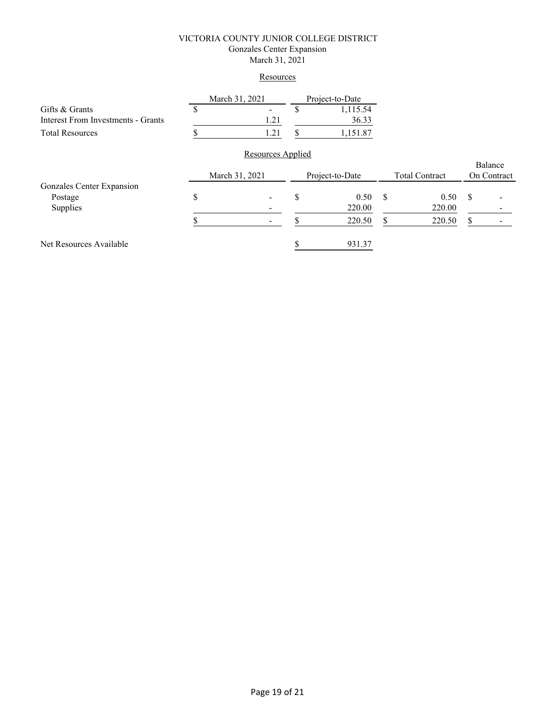### VICTORIA COUNTY JUNIOR COLLEGE DISTRICT Gonzales Center Expansion March 31, 2021

### **Resources**

|                                    | March 31, 2021 | Project-to-Date |         |  |
|------------------------------------|----------------|-----------------|---------|--|
| Gifts & Grants                     |                |                 | .115.54 |  |
| Interest From Investments - Grants |                |                 | 36.33   |  |
| <b>Total Resources</b>             | l 21           |                 | .151.87 |  |

# Resources Applied

|                           | March 31, 2021           |    | Project-to-Date |    | <b>Total Contract</b> |    | Balance<br>On Contract |
|---------------------------|--------------------------|----|-----------------|----|-----------------------|----|------------------------|
| Gonzales Center Expansion |                          |    |                 |    |                       |    |                        |
| Postage                   | $\overline{\phantom{a}}$ |    | 0.50            | S. | 0.50                  | -S |                        |
| Supplies                  |                          |    | 220.00          |    | 220.00                |    |                        |
|                           | $\overline{\phantom{a}}$ | кF | 220.50          |    | 220.50                |    |                        |
| Net Resources Available   |                          |    | 931.37          |    |                       |    |                        |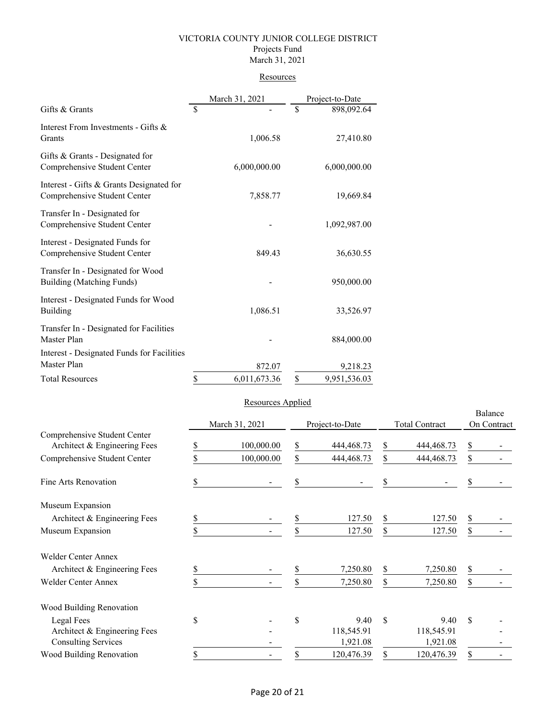### VICTORIA COUNTY JUNIOR COLLEGE DISTRICT Projects Fund March 31, 2021

### **Resources**

|                                                                          | March 31, 2021     | Project-to-Date    |
|--------------------------------------------------------------------------|--------------------|--------------------|
| Gifts & Grants                                                           | \$                 | \$<br>898,092.64   |
| Interest From Investments - Gifts &<br>Grants                            | 1,006.58           | 27,410.80          |
| Gifts & Grants - Designated for<br>Comprehensive Student Center          | 6,000,000.00       | 6,000,000.00       |
| Interest - Gifts & Grants Designated for<br>Comprehensive Student Center | 7,858.77           | 19,669.84          |
| Transfer In - Designated for<br>Comprehensive Student Center             |                    | 1,092,987.00       |
| Interest - Designated Funds for<br>Comprehensive Student Center          | 849.43             | 36,630.55          |
| Transfer In - Designated for Wood<br>Building (Matching Funds)           |                    | 950,000.00         |
| Interest - Designated Funds for Wood<br><b>Building</b>                  | 1,086.51           | 33,526.97          |
| Transfer In - Designated for Facilities<br>Master Plan                   |                    | 884,000.00         |
| Interest - Designated Funds for Facilities<br>Master Plan                | 872.07             | 9,218.23           |
| <b>Total Resources</b>                                                   | \$<br>6,011,673.36 | \$<br>9,951,536.03 |

### Resources Applied

|                                                              |    | March 31, 2021 | Project-to-Date    |               | <b>Total Contract</b> | Balance<br>On Contract |  |
|--------------------------------------------------------------|----|----------------|--------------------|---------------|-----------------------|------------------------|--|
| Comprehensive Student Center<br>Architect & Engineering Fees | S  | 100,000.00     | \$<br>444,468.73   | \$            | 444, 468. 73          | \$                     |  |
| Comprehensive Student Center                                 |    | 100,000.00     | \$<br>444, 468. 73 | \$            | 444,468.73            | \$                     |  |
| Fine Arts Renovation                                         |    |                | \$                 | \$            |                       | \$                     |  |
| Museum Expansion                                             |    |                |                    |               |                       |                        |  |
| Architect & Engineering Fees                                 | \$ |                | \$<br>127.50       | \$            | 127.50                | \$                     |  |
| Museum Expansion                                             | \$ |                | \$<br>127.50       | \$            | 127.50                | $\mathbb{S}$           |  |
| <b>Welder Center Annex</b>                                   |    |                |                    |               |                       |                        |  |
| Architect & Engineering Fees                                 |    |                | \$<br>7,250.80     | \$            | 7,250.80              | \$                     |  |
| <b>Welder Center Annex</b>                                   |    |                | \$<br>7,250.80     | \$            | 7,250.80              | \$                     |  |
| Wood Building Renovation                                     |    |                |                    |               |                       |                        |  |
| Legal Fees                                                   | \$ |                | \$<br>9.40         | $\mathcal{S}$ | 9.40                  | \$                     |  |
| Architect & Engineering Fees                                 |    |                | 118,545.91         |               | 118,545.91            |                        |  |
| <b>Consulting Services</b>                                   |    |                | 1,921.08           |               | 1,921.08              |                        |  |
| Wood Building Renovation                                     | S  |                | \$<br>120,476.39   | S             | 120,476.39            | \$                     |  |